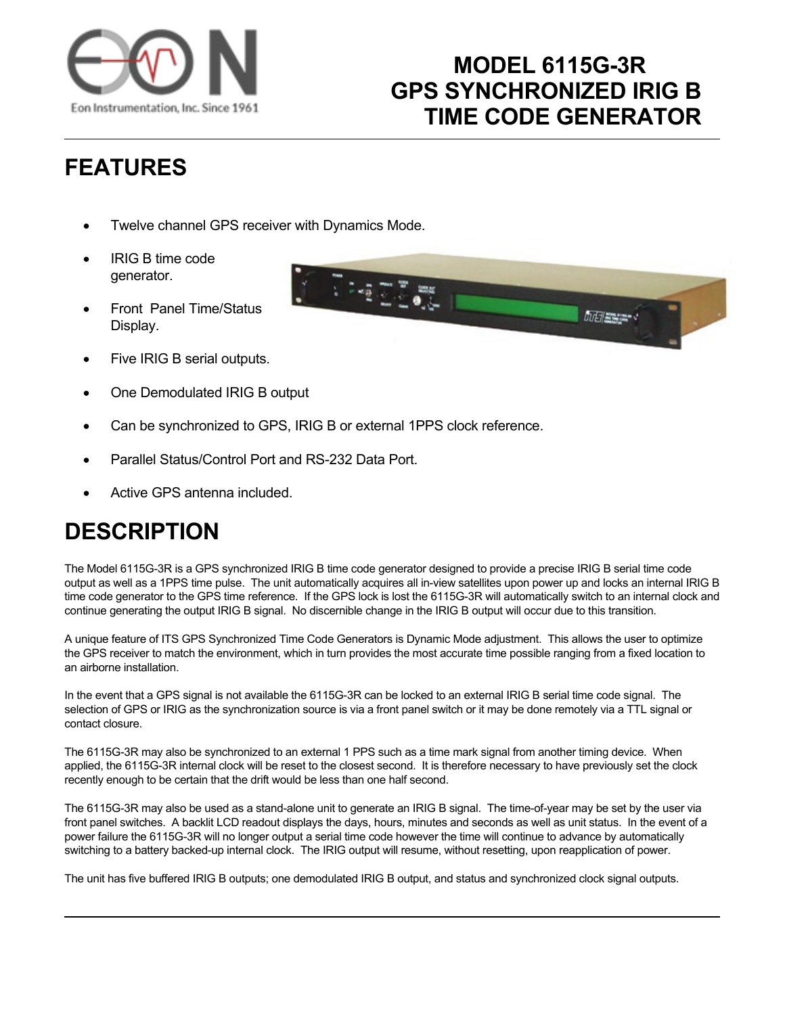

## **MODEL 6115G-3R GPS SYNCHRONIZED IRIG B TIME CODE GENERATOR**

# **FEATURES**

- Twelve channel GPS receiver with Dynamics Mode.
- IRIG B time code generator.
- Front Panel Time/Status Display.
- Five IRIG B serial outputs.
- One Demodulated IRIG B output
- Can be synchronized to GPS, IRIG B or external 1PPS clock reference.
- Parallel Status/Control Port and RS-232 Data Port.
- Active GPS antenna included.

### **DESCRIPTION**

The Model 6115G-3R is a GPS synchronized IRIG B time code generator designed to provide a precise IRIG B serial time code output as well as a 1PPS time pulse. The unit automatically acquires all in-view satellites upon power up and locks an internal IRIG B time code generator to the GPS time reference. If the GPS lock is lost the 6115G-3R will automatically switch to an internal clock and continue generating the output IRIG B signal. No discernible change in the IRIG B output will occur due to this transition.

A unique feature of ITS GPS Synchronized Time Code Generators is Dynamic Mode adjustment. This allows the user to optimize the GPS receiver to match the environment, which in turn provides the most accurate time possible ranging from a fixed location to an airborne installation.

In the event that a GPS signal is not available the 6115G-3R can be locked to an external IRIG B serial time code signal. The selection of GPS or IRIG as the synchronization source is via a front panel switch or it may be done remotely via a TTL signal or contact closure.

The 6115G-3R may also be synchronized to an external 1 PPS such as a time mark signal from another timing device. When applied, the 6115G-3R internal clock will be reset to the closest second. It is therefore necessary to have previously set the clock recently enough to be certain that the drift would be less than one half second.

The 6115G-3R may also be used as a stand-alone unit to generate an IRIG B signal. The time-of-year may be set by the user via front panel switches. A backlit LCD readout displays the days, hours, minutes and seconds as well as unit status. In the event of a power failure the 6115G-3R will no longer output a serial time code however the time will continue to advance by automatically switching to a battery backed-up internal clock. The IRIG output will resume, without resetting, upon reapplication of power.

The unit has five buffered IRIG B outputs; one demodulated IRIG B output, and status and synchronized clock signal outputs.